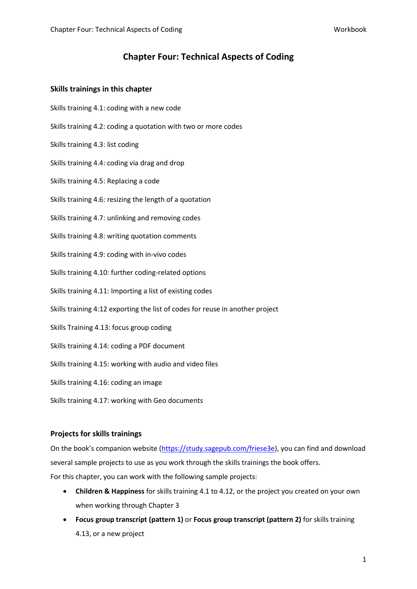# **Chapter Four: Technical Aspects of Coding**

## **Skills trainings in this chapter**

- Skills training 4.1: coding with a new code
- Skills training 4.2: coding a quotation with two or more codes
- Skills training 4.3: list coding
- Skills training 4.4: coding via drag and drop
- Skills training 4.5: Replacing a code
- Skills training 4.6: resizing the length of a quotation
- Skills training 4.7: unlinking and removing codes
- Skills training 4.8: writing quotation comments
- Skills training 4.9: coding with in-vivo codes
- Skills training 4.10: further coding-related options
- Skills training 4.11: Importing a list of existing codes
- Skills training 4:12 exporting the list of codes for reuse in another project
- Skills Training 4.13: focus group coding
- Skills training 4.14: coding a PDF document
- Skills training 4.15: working with audio and video files
- Skills training 4.16: coding an image
- Skills training 4.17: working with Geo documents

# **Projects for skills trainings**

On the book's companion website ([https://study.sagepub.com/friese3e\)](https://study.sagepub.com/friese3e), you can find and download several sample projects to use as you work through the skills trainings the book offers. For this chapter, you can work with the following sample projects:

- **Children & Happiness** for skills training 4.1 to 4.12, or the project you created on your own when working through Chapter 3
- **Focus group transcript (pattern 1)** or **Focus group transcript (pattern 2)** for skills training 4.13, or a new project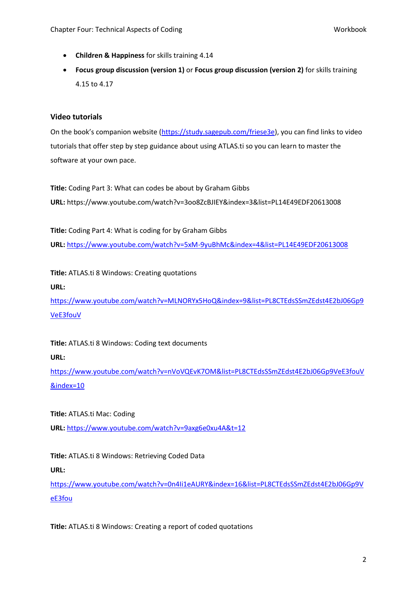- **Children & Happiness** for skills training 4.14
- **Focus group discussion (version 1)** or **Focus group discussion (version 2)** for skills training 4.15 to 4.17

# **Video tutorials**

On the book's companion website ([https://study.sagepub.com/friese3e\)](https://study.sagepub.com/friese3e), you can find links to video tutorials that offer step by step guidance about using ATLAS.ti so you can learn to master the software at your own pace.

**Title:** Coding Part 3: What can codes be about by Graham Gibbs **URL:** <https://www.youtube.com/watch?v=3oo8ZcBJIEY&index=3&list=PL14E49EDF20613008>

**Title:** Coding Part 4: What is coding for by Graham Gibbs **URL:** <https://www.youtube.com/watch?v=5xM-9yuBhMc&index=4&list=PL14E49EDF20613008>

**Title:** ATLAS.ti 8 Windows: Creating quotations **URL:**

[https://www.youtube.com/watch?v=MLNORYx5HoQ&index=9&list=PL8CTEdsSSmZEdst4E2bJ06Gp9](https://www.youtube.com/watch?v=MLNORYx5HoQ&index=9&list=PL8CTEdsSSmZEdst4E2bJ06Gp9VeE3fouV) [VeE3fouV](https://www.youtube.com/watch?v=MLNORYx5HoQ&index=9&list=PL8CTEdsSSmZEdst4E2bJ06Gp9VeE3fouV)

**Title:** ATLAS.ti 8 Windows: Coding text documents

#### **URL:**

[https://www.youtube.com/watch?v=nVoVQEvK7OM&list=PL8CTEdsSSmZEdst4E2bJ06Gp9VeE3fouV](https://www.youtube.com/watch?v=nVoVQEvK7OM&list=PL8CTEdsSSmZEdst4E2bJ06Gp9VeE3fouV&index=10) [&index=10](https://www.youtube.com/watch?v=nVoVQEvK7OM&list=PL8CTEdsSSmZEdst4E2bJ06Gp9VeE3fouV&index=10)

**Title:** ATLAS.ti Mac: Coding **URL:** <https://www.youtube.com/watch?v=9axg6e0xu4A&t=12>

**Title:** ATLAS.ti 8 Windows: Retrieving Coded Data

**URL:**

[https://www.youtube.com/watch?v=0n4Ii1eAURY&index=16&list=PL8CTEdsSSmZEdst4E2bJ06Gp9V](https://www.youtube.com/watch?v=0n4Ii1eAURY&index=16&list=PL8CTEdsSSmZEdst4E2bJ06Gp9VeE3fou) [eE3fou](https://www.youtube.com/watch?v=0n4Ii1eAURY&index=16&list=PL8CTEdsSSmZEdst4E2bJ06Gp9VeE3fou)

**Title:** ATLAS.ti 8 Windows: Creating a report of coded quotations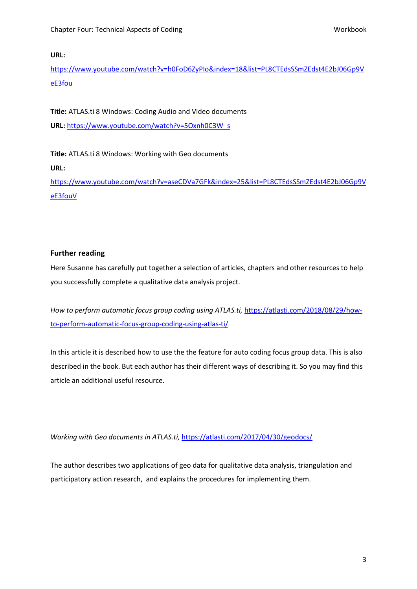### **URL:**

[https://www.youtube.com/watch?v=h0FoD6ZyPIo&index=18&list=PL8CTEdsSSmZEdst4E2bJ06Gp9V](https://www.youtube.com/watch?v=h0FoD6ZyPIo&index=18&list=PL8CTEdsSSmZEdst4E2bJ06Gp9VeE3fou) [eE3fou](https://www.youtube.com/watch?v=h0FoD6ZyPIo&index=18&list=PL8CTEdsSSmZEdst4E2bJ06Gp9VeE3fou)

**Title:** ATLAS.ti 8 Windows: Coding Audio and Video documents **URL:** [https://www.youtube.com/watch?v=5Oxnh0C3W\\_s](https://www.youtube.com/watch?v=5Oxnh0C3W_s)

**Title:** ATLAS.ti 8 Windows: Working with Geo documents **URL:**

[https://www.youtube.com/watch?v=aseCDVa7GFk&index=25&list=PL8CTEdsSSmZEdst4E2bJ06Gp9V](https://www.youtube.com/watch?v=aseCDVa7GFk&index=25&list=PL8CTEdsSSmZEdst4E2bJ06Gp9VeE3fouV) [eE3fouV](https://www.youtube.com/watch?v=aseCDVa7GFk&index=25&list=PL8CTEdsSSmZEdst4E2bJ06Gp9VeE3fouV)

# **Further reading**

Here Susanne has carefully put together a selection of articles, chapters and other resources to help you successfully complete a qualitative data analysis project.

*How to perform automatic focus group coding using ATLAS.ti,* [https://atlasti.com/2018/08/29/how](https://atlasti.com/2018/08/29/how-to-perform-automatic-focus-group-coding-using-atlas-ti/)[to-perform-automatic-focus-group-coding-using-atlas-ti/](https://atlasti.com/2018/08/29/how-to-perform-automatic-focus-group-coding-using-atlas-ti/)

In this article it is described how to use the the feature for auto coding focus group data. This is also described in the book. But each author has their different ways of describing it. So you may find this article an additional useful resource.

*Working with Geo documents in ATLAS.ti,* <https://atlasti.com/2017/04/30/geodocs/>

The author describes two applications of geo data for qualitative data analysis, triangulation and participatory action research, and explains the procedures for implementing them.